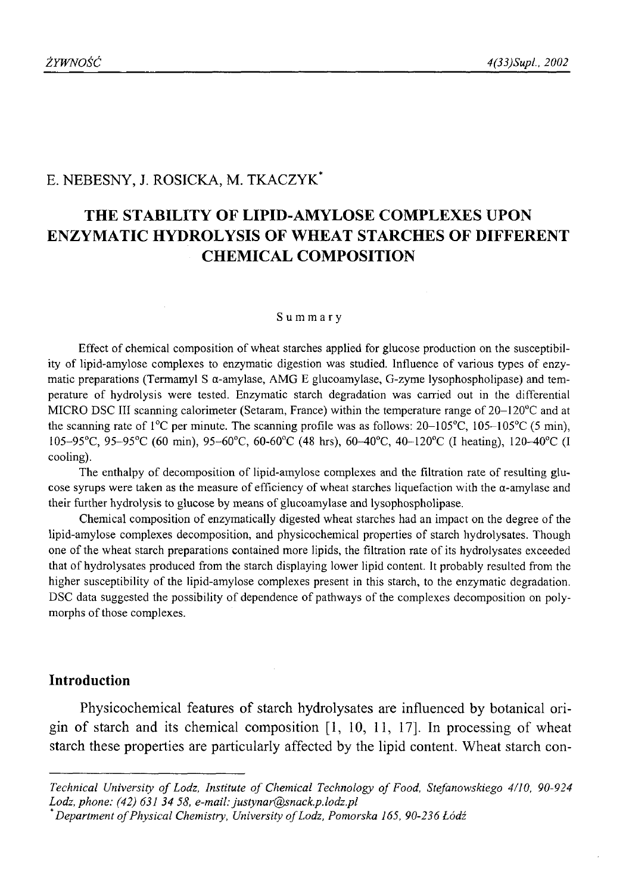# E. NEBESNY, J. ROSICKA, M. TKACZYK\*

# **THE STABILITY OF LIPID-AMYLOSE COMPLEXES UPON ENZYMATIC HYDROLYSIS OF WHEAT STARCHES OF DIFFERENT CHEMICAL COMPOSITION**

## **Summary**

Effect of chemical composition of wheat starches applied for glucose production on the susceptibility of lipid-amylose complexes to enzymatic digestion was studied. Influence of various types of enzymatic preparations (Termamyl S  $\alpha$ -amylase, AMG E glucoamylase, G-zyme lysophospholipase) and temperature of hydrolysis were tested. Enzymatic starch degradation was carried out in the differential MICRO DSC III scanning calorimeter (Setaram, France) within the temperature range of 20-120°C and at the scanning rate of  $1^{\circ}$ C per minute. The scanning profile was as follows:  $20-105^{\circ}$ C,  $105-105^{\circ}$ C (5 min), 105-95°C, 95-95°C (60 min), 95-60°C, 60-60°C (48 hrs), 60-40°C, 40-120°C (I heating), 120-40°C (I cooling).

The enthalpy of decomposition of lipid-amylose complexes and the filtration rate of resulting glucose syrups were taken as the measure of efficiency of wheat starches liquefaction with the  $\alpha$ -amylase and their further hydrolysis to glucose by means of glucoamylase and lysophospholipase.

Chemical composition of enzymatically digested wheat starches had an impact on the degree of the lipid-amylose complexes decomposition, and physicochemical properties of starch hydrolysates. Though one of the wheat starch preparations contained more lipids, the filtration rate of its hydrolysates exceeded that of hydrolysates produced from the starch displaying lower lipid content. It probably resulted from the higher susceptibility of the lipid-amylose complexes present in this starch, to the enzymatic degradation. DSC data suggested the possibility of dependence of pathways of the complexes decomposition on polymorphs of those complexes.

# **Introduction**

Physicochemical features of starch hydrolysates are influenced by botanical origin of starch and its chemical composition [1, 10, 11, 17]. In processing of wheat starch these properties are particularly affected by the lipid content. Wheat starch con-

Technical University of Lodz, Institute of Chemical Technology of Food, Stefanowskiego 4/10, 90-924 *Lodz, phone: (42) 631 34 58, e-mail: [justynar@snack.p.lodz.pl](mailto:justynar@snack.p.lodz.pl)*

*Department of Physical Chemistry, University of Lodz, Pomorska 165, 90-236 Łódź*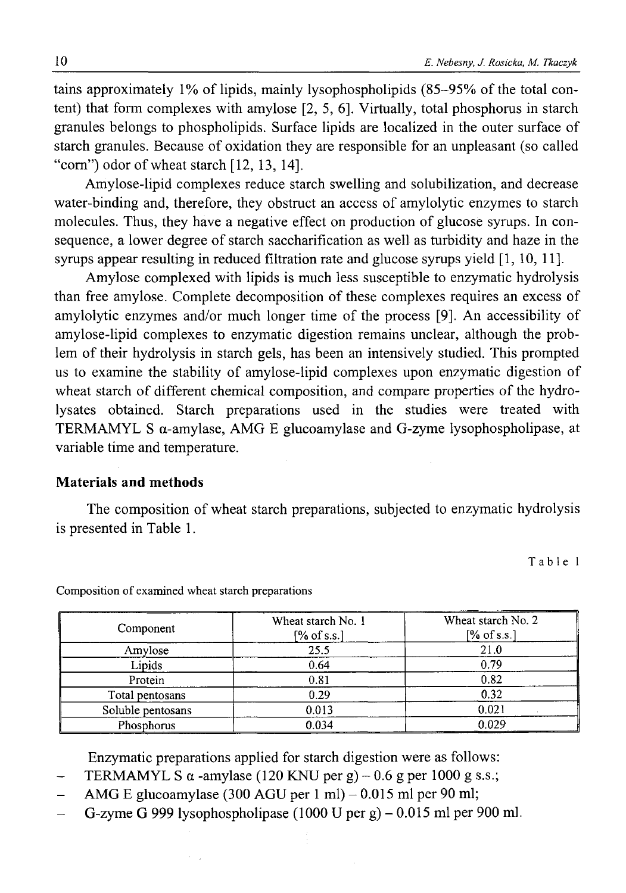tains approximately 1% of lipids, mainly lysophospholipids (85-95% of the total content) that form complexes with amylose [2, 5, 6]. Virtually, total phosphorus in starch granules belongs to phospholipids. Surface lipids are localized in the outer surface of starch granules. Because of oxidation they are responsible for an unpleasant (so called "corn") odor of wheat starch [12, 13, 14].

Amylose-lipid complexes reduce starch swelling and solubilization, and decrease water-binding and, therefore, they obstruct an access of amylolytic enzymes to starch molecules. Thus, they have a negative effect on production of glucose syrups. In consequence, a lower degree of starch saccharification as well as turbidity and haze in the syrups appear resulting in reduced filtration rate and glucose syrups yield [1, 10, 11].

Amylose complexed with lipids is much less susceptible to enzymatic hydrolysis than free amylose. Complete decomposition of these complexes requires an excess of amylolytic enzymes and/or much longer time of the process [9]. An accessibility of amylose-lipid complexes to enzymatic digestion remains unclear, although the problem of their hydrolysis in starch gels, has been an intensively studied. This prompted us to examine the stability of amylose-lipid complexes upon enzymatic digestion of wheat starch of different chemical composition, and compare properties of the hydrolysates obtained. Starch preparations used in the studies were treated with TERMAMYL S a-amylase, AMG E glucoamylase and G-zyme lysophospholipase, at variable time and temperature.

## **Materials and methods**

The composition of wheat starch preparations, subjected to enzymatic hydrolysis is presented in Table 1.

Table 1

| Component         | Wheat starch No. 1<br>$[%$ of s.s.] | Wheat starch No. 2<br>$[\%$ of s.s.] |
|-------------------|-------------------------------------|--------------------------------------|
| Amylose           | 25.5                                | 21.0                                 |
| Lipids            | 0.64                                | 0.79                                 |
| Protein           | 0.81                                | 0.82                                 |
| Total pentosans   | 0.29                                | 0.32                                 |
| Soluble pentosans | 0.013                               | 0.021                                |
| Phosphorus        | 0.034                               | 0.029                                |

Composition of examined wheat starch preparations

Enzymatic preparations applied for starch digestion were as follows:

- TERMAMYL S  $\alpha$  -amylase (120 KNU per g) 0.6 g per 1000 g s.s.;
- AMG E glucoamylase (300 AGU per 1 ml)  $-$  0.015 ml per 90 ml;
- G-zyme G 999 lysophospholipase  $(1000 \text{ U per g}) 0.015 \text{ ml per } 900 \text{ ml.}$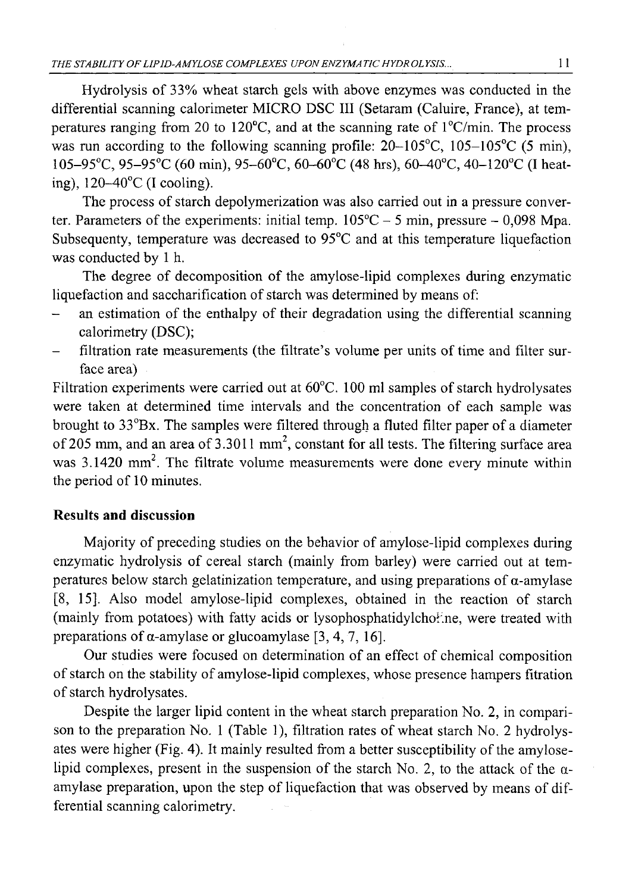Hydrolysis of 33% wheat starch gels with above enzymes was conducted in the differential scanning calorimeter MICRO DSC III (Setaram (Caluire, France), at temperatures ranging from 20 to 120°C, and at the scanning rate of l°C/min. The process was run according to the following scanning profile:  $20-105^{\circ}$ C,  $105-105^{\circ}$ C (5 min), 105-95°C, 95-95°C (60 min), 95-60°C, 60-60°C (48 hrs), 60-40°C, 40-120°C (I heating),  $120-40^{\circ}$ C (I cooling).

The process of starch depolymerization was also carried out in a pressure converter. Parameters of the experiments: initial temp.  $105^{\circ}$ C - 5 min, pressure - 0,098 Mpa. Subsequenty, temperature was decreased to 95°C and at this temperature liquefaction was conducted by 1 h.

The degree of decomposition of the amylose-lipid complexes during enzymatic liquefaction and saccharification of starch was determined by means of:

- an estimation of the enthalpy of their degradation using the differential scanning calorimetry (DSC);
- filtration rate measurements (the filtrate's volume per units of time and filter surface area)

Filtration experiments were carried out at  $60^{\circ}$ C. 100 ml samples of starch hydrolysates were taken at determined time intervals and the concentration of each sample was brought to 33°Bx. The samples were filtered through a fluted filter paper of a diameter of 205 mm, and an area of  $3.3011$  mm<sup>2</sup>, constant for all tests. The filtering surface area was 3.1420 mm<sup>2</sup>. The filtrate volume measurements were done every minute within the period of 10 minutes.

# **Results and discussion**

Majority of preceding studies on the behavior of amylose-lipid complexes during enzymatic hydrolysis of cereal starch (mainly from barley) were carried out at temperatures below starch gelatinization temperature, and using preparations of  $\alpha$ -amylase [8, 15]. Also model amylose-lipid complexes, obtained in the reaction of starch (mainly from potatoes) with fatty acids or lysophosphatidylchoł.ne, were treated with preparations of  $\alpha$ -amylase or glucoamylase [3, 4, 7, 16].

Our studies were focused on determination of an effect of chemical composition of starch on the stability of amylose-lipid complexes, whose presence hampers fitration of starch hydrolysates.

Despite the larger lipid content in the wheat starch preparation No. 2, in comparison to the preparation No. 1 (Table 1), filtration rates of wheat starch No. 2 hydrolysates were higher (Fig. 4). It mainly resulted from a better susceptibility of the amyloselipid complexes, present in the suspension of the starch No. 2, to the attack of the  $\alpha$ amylase preparation, upon the step of liquefaction that was observed by means of differential scanning calorimetry.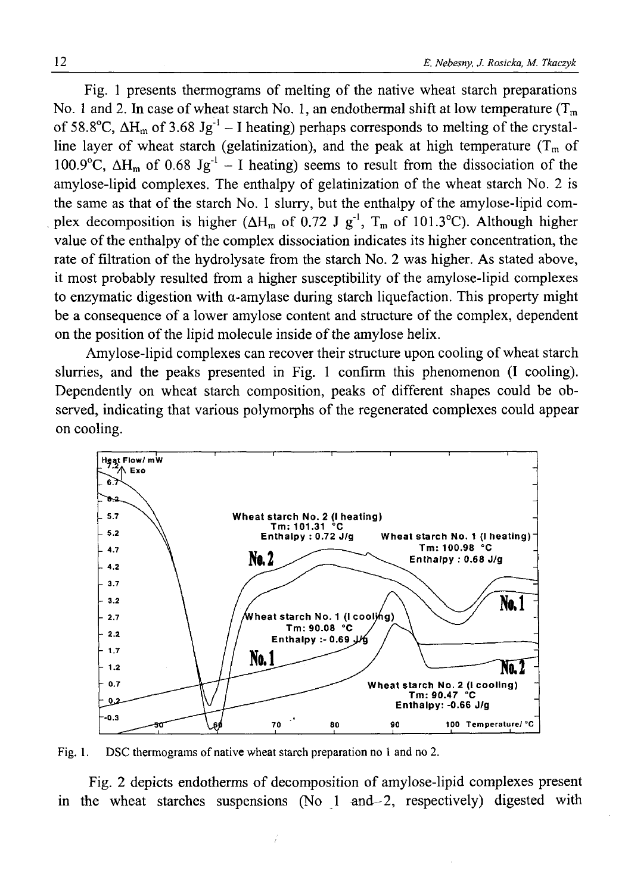Fig. 1 presents thermograms of melting of the native wheat starch preparations No. 1 and 2. In case of wheat starch No. 1, an endothermal shift at low temperature  $(T_m)$ of 58.8°C,  $\Delta H_m$  of 3.68 Jg<sup>-1</sup> – I heating) perhaps corresponds to melting of the crystalline layer of wheat starch (gelatinization), and the peak at high temperature  $(T_m \text{ of }$ 100.9°C,  $\Delta H_m$  of 0.68 Jg<sup>-1</sup> – I heating) seems to result from the dissociation of the amylose-lipid complexes. The enthalpy of gelatinization of the wheat starch No. 2 is the same as that of the starch No. 1 slurry, but the enthalpy of the amylose-lipid complex decomposition is higher ( $\Delta H_m$  of 0.72 J g<sup>-1</sup>, T<sub>m</sub> of 101.3°C). Although higher value of the enthalpy of the complex dissociation indicates its higher concentration, the rate of filtration of the hydrolysate from the starch No. 2 was higher. As stated above, it most probably resulted from a higher susceptibility of the amylose-lipid complexes to enzymatic digestion with  $\alpha$ -amylase during starch liquefaction. This property might be a consequence of a lower amylose content and structure of the complex, dependent on the position of the lipid molecule inside of the amylose helix.

Amylose-lipid complexes can recover their structure upon cooling of wheat starch slurries, and the peaks presented in Fig. 1 confirm this phenomenon (I cooling). Dependently on wheat starch composition, peaks of different shapes could be observed, indicating that various polymorphs of the regenerated complexes could appear on cooling.



Fig. 1. DSC thermograms of native wheat starch preparation no 1 and no 2.

ĵ

Fig. 2 depicts endotherms of decomposition of amylose-lipid complexes present in the wheat starches suspensions (No  $1$  and  $-2$ , respectively) digested with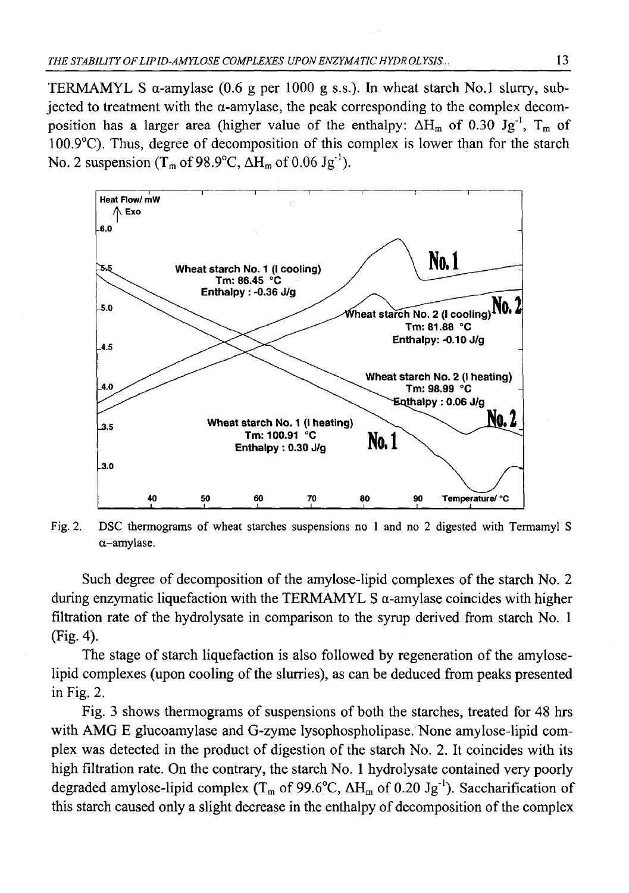TERMAMYL S  $\alpha$ -amylase (0.6 g per 1000 g s.s.). In wheat starch No.1 slurry, subjected to treatment with the  $\alpha$ -amylase, the peak corresponding to the complex decomposition has a larger area (higher value of the enthalpy:  $\Delta H_m$  of 0.30 Jg<sup>-1</sup>, T<sub>m</sub> of 100.9°C). Thus, degree of decomposition of this complex is lower than for the starch No. 2 suspension  $(T_m$  of 98.9°C,  $\Delta H_m$  of 0.06 Jg<sup>-1</sup>).



Fig. 2. DSC thermograms of wheat starches suspensions no 1 and no 2 digested with Termamyl S a-amylase.

Such degree of decomposition of the amylose-lipid complexes of the starch No. 2 during enzymatic liquefaction with the TERMAMYL S  $\alpha$ -amylase coincides with higher filtration rate of the hydrolysate in comparison to the syrup derived from starch No. 1 (Fig. 4).

The stage of starch liquefaction is also followed by regeneration of the amyloselipid complexes (upon cooling of the slurries), as can be deduced from peaks presented in Fig. 2.

Fig. 3 shows thermograms of suspensions of both the starches, treated for 48 hrs with AMG E glucoamylase and G-zyme lysophospholipase. None amylose-lipid complex was detected in the product of digestion of the starch No. 2. It coincides with its high filtration rate. On the contrary, the starch No. 1 hydrolysate contained very poorly degraded amylose-lipid complex ( $T_m$  of 99.6°C,  $\Delta H_m$  of 0.20 Jg<sup>-1</sup>). Saccharification of this starch caused only a slight decrease in the enthalpy of decomposition of the complex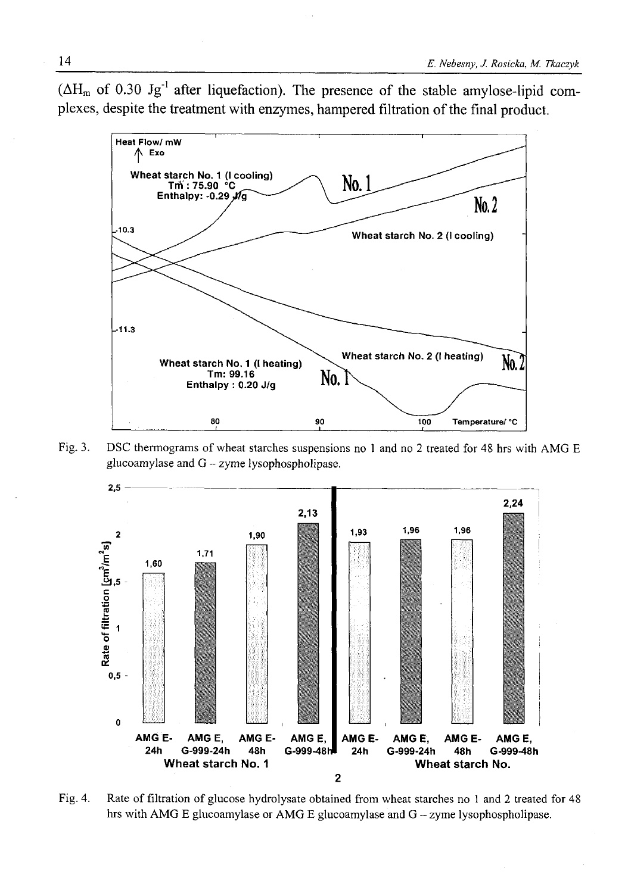$(\Delta H_m$  of 0.30 Jg<sup>-1</sup> after liquefaction). The presence of the stable amylose-lipid complexes, despite the treatment with enzymes, hampered filtration of the final product.



Fig. 3. DSC thermograms of wheat starches suspensions no 1 and no 2 treated for 48 hrs with AMG E glucoamylase and  $G - z$ yme lysophospholipase.



Fig. 4. Rate of filtration of glucose hydrolysate obtained from wheat starches no 1 and 2 treated for 48 hrs with AMG E glucoamylase or AMG E glucoamylase and G - zyme lysophospholipase.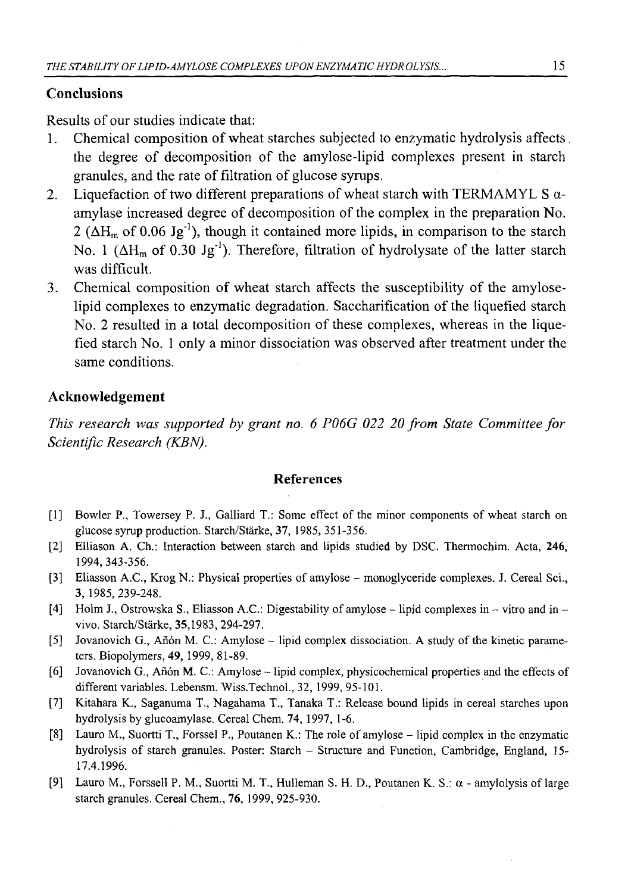## **Conclusions**

Results of our studies indicate that:

- 1. Chemical composition of wheat starches subjected to enzymatic hydrolysis affects. the degree of decomposition of the amylose-lipid complexes present in starch granules, and the rate of filtration of glucose syrups.
- 2. Liquefaction of two different preparations of wheat starch with TERMAMYL S  $\alpha$ amylase increased degree of decomposition of the complex in the preparation No. 2 ( $\Delta H_m$  of 0.06 Jg<sup>-1</sup>), though it contained more lipids, in comparison to the starch No. 1 ( $\Delta H_m$  of 0.30 Jg<sup>-1</sup>). Therefore, filtration of hydrolysate of the latter starch was difficult.
- 3. Chemical composition of wheat starch affects the susceptibility of the amyloselipid complexes to enzymatic degradation. Saccharification of the liquefied starch No. 2 resulted in a total decomposition of these complexes, whereas in the liquefied starch No. 1 only a minor dissociation was observed after treatment under the same conditions.

## **Acknowledgement**

*This research was supported by grant no. 6 P06G 022 20 from State Committee for Scientific Research (KBN).*

#### **References**

- [1] Bowler P., Towersey P. J., Galliard T.: Some effect of the minor components of wheat starch on glucose syrup production. Starch/Starke, **37,** 1985, 351-356.
- [2] Elliason A. Ch.: Interaction between starch and lipids studied by DSC. Thermochim. Acta, **246,** 1994, 343-356.
- [3] Eliasson A.C., Krog N.: Physical properties of amylose monoglyceride complexes. J. Cereal Sci., **3,** 1985,239-248.
- [4] Holm J., Ostrowska S., Eliasson A.C.: Digestability of amylose  $-$  lipid complexes in  $-$  vitro and in  $$ vivo. Starch/Starke, 35,1983, 294-297.
- [5] Jovanovich G., Anón M. C.: Amylose lipid complex dissociation. A study of the kinetic parameters. Biopolymers, **49,** 1999, 81-89.
- [6] Jovanovich G., Anón M. C.: Amylose lipid complex, physicochemical properties and the effects of different variables. Lebensm. Wiss.Technol., 32, 1999, 95-101.
- [7] Kitahara K., Saganuma T., Nagahama T., Tanaka T.: Release bound lipids in cereal starches upon hydrolysis by glucoamylase. Cereal Chem. 74, 1997, 1-6.
- [8] Lauro M., Suortti T., Forssel P., Poutanen K.: The role of amylose lipid complex in the enzymatic hydrolysis of starch granules. Poster: Starch - Structure and Function, Cambridge, England, 15- 17.4.1996.
- [9] Lauro M., Forssell P. M., Suortti M. T., Hulleman S. H. D., Poutanen K. S.: a amylolysis of large starch granules. Cereal Chem., 76, 1999, 925-930.